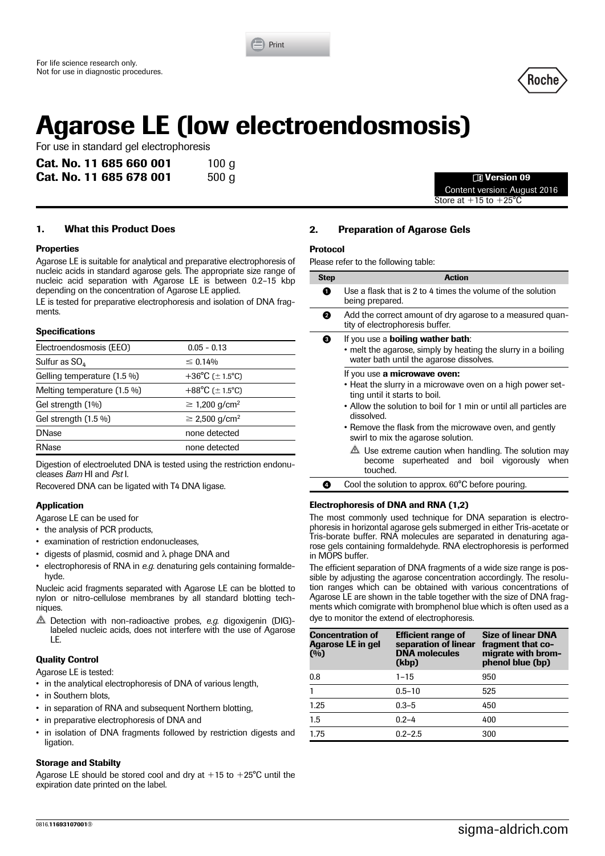



# **Agarose LE (low electroendosmosis)**

For use in standard gel electrophoresis

| Cat. No. 11 685 660 001 | 100 g |                      |
|-------------------------|-------|----------------------|
| Cat. No. 11 685 678 001 | 500 g | <b>11 Version 09</b> |

Content version: August 2016 Store at  $+15$  to  $+25^{\circ}$ C

## **1. What this Product Does**

#### **Properties**

Agarose LE is suitable for analytical and preparative electrophoresis of nucleic acids in standard agarose gels. The appropriate size range of nucleic acid separation with Agarose LE is between 0.2–15 kbp depending on the concentration of Agarose LE applied.

LE is tested for preparative electrophoresis and isolation of DNA fragments.

#### **Specifications**

| Electroendosmosis (EEO)     | $0.05 - 0.13$                  |
|-----------------------------|--------------------------------|
| Sulfur as $SO_{4}$          | $\leq 0.14\%$                  |
| Gelling temperature (1.5 %) | +36°C ( $\pm$ 1.5°C)           |
| Melting temperature (1.5 %) | +88°C ( $\pm$ 1.5°C)           |
| Gel strength (1%)           | $\geq$ 1,200 g/cm <sup>2</sup> |
| Gel strength $(1.5\%)$      | $\geq$ 2,500 g/cm <sup>2</sup> |
| <b>DNase</b>                | none detected                  |
| RNase                       | none detected                  |

Digestion of electroeluted DNA is tested using the restriction endonucleases *Bam* HI and *Pst* I.

Recovered DNA can be ligated with T4 DNA ligase.

## **Application**

Agarose LE can be used for

• the analysis of PCR products,

- examination of restriction endonucleases,
- digests of plasmid, cosmid and  $\lambda$  phage DNA and
- electrophoresis of RNA in *e.g.* denaturing gels containing formaldehyde.

Nucleic acid fragments separated with Agarose LE can be blotted to nylon or nitro-cellulose membranes by all standard blotting techniques.

 Detection with non-radioactive probes, *e.g.* digoxigenin (DIG) labeled nucleic acids, does not interfere with the use of Agarose LE.

## **Quality Control**

Agarose LE is tested:

- in the analytical electrophoresis of DNA of various length,
- in Southern blots.
- in separation of RNA and subsequent Northern blotting,
- in preparative electrophoresis of DNA and
- in isolation of DNA fragments followed by restriction digests and ligation.

#### **Storage and Stabilty**

Agarose LE should be stored cool and dry at  $+15$  to  $+25^{\circ}$ C until the expiration date printed on the label.

## **2. Preparation of Agarose Gels**

## **Protocol**

Please refer to the following table:

| <b>Step</b> | <b>Action</b>                                                                                                                                                                                                                                                                                                  |
|-------------|----------------------------------------------------------------------------------------------------------------------------------------------------------------------------------------------------------------------------------------------------------------------------------------------------------------|
| n           | Use a flask that is 2 to 4 times the volume of the solution<br>being prepared.                                                                                                                                                                                                                                 |
| Ø           | Add the correct amount of dry agarose to a measured quan-<br>tity of electrophoresis buffer.                                                                                                                                                                                                                   |
| 0           | If you use a <b>boiling wather bath</b> :<br>• melt the agarose, simply by heating the slurry in a boiling<br>water bath until the agarose dissolves.                                                                                                                                                          |
|             | If you use a microwave oven:<br>• Heat the slurry in a microwave oven on a high power set-<br>ting until it starts to boil.<br>• Allow the solution to boil for 1 min or until all particles are<br>dissolved.<br>• Remove the flask from the microwave oven, and gently<br>swirl to mix the agarose solution. |
|             | $\triangle$ Use extreme caution when handling. The solution may<br>superheated and boil vigorously when<br>become<br>touched.                                                                                                                                                                                  |

Cool the solution to approx. 60°C before pouring

## **Electrophoresis of DNA and RNA (1,2)**

The most commonly used technique for DNA separation is electrophoresis in horizontal agarose gels submerged in either Tris-acetate or Tris-borate buffer. RNA molecules are separated in denaturing agarose gels containing formaldehyde. RNA electrophoresis is performed in MOPS buffer.

The efficient separation of DNA fragments of a wide size range is possible by adjusting the agarose concentration accordingly. The resolution ranges which can be obtained with various concentrations of Agarose LE are shown in the table together with the size of DNA fragments which comigrate with bromphenol blue which is often used as a dye to monitor the extend of electrophoresis.

| <b>Concentration of</b><br><b>Agarose LE in gel</b><br>(%) | <b>Efficient range of</b><br>separation of linear<br><b>DNA</b> molecules<br>(kbp) | <b>Size of linear DNA</b><br>fragment that co-<br>migrate with brom-<br>phenol blue (bp) |
|------------------------------------------------------------|------------------------------------------------------------------------------------|------------------------------------------------------------------------------------------|
| 0.8                                                        | $1 - 15$                                                                           | 950                                                                                      |
| 1                                                          | $0.5 - 10$                                                                         | 525                                                                                      |
| 1.25                                                       | $0.3 - 5$                                                                          | 450                                                                                      |
| 1.5                                                        | $0.2 - 4$                                                                          | 400                                                                                      |
| 1.75                                                       | $0.2 - 2.5$                                                                        | 300                                                                                      |